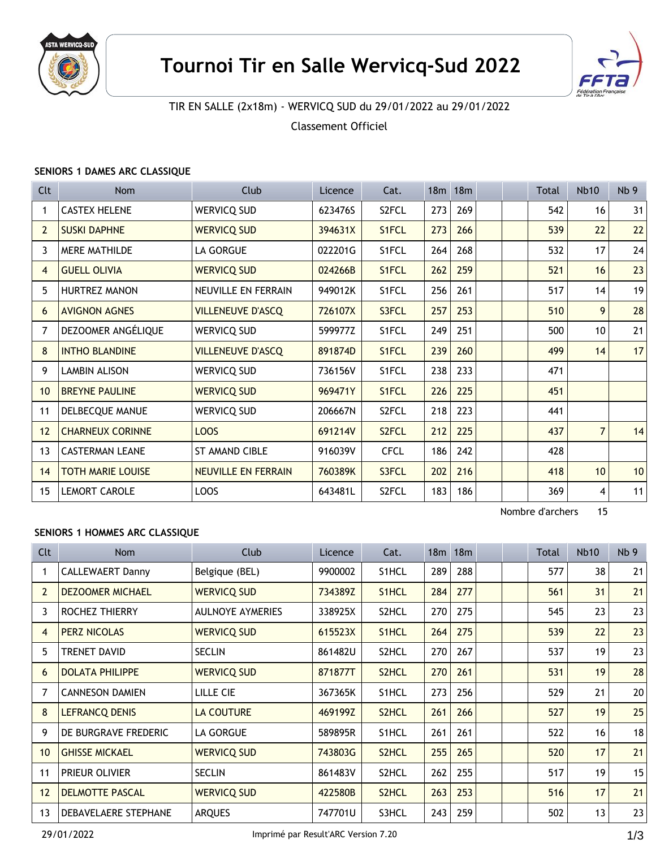



# TIR EN SALLE (2x18m) - WERVICQ SUD du 29/01/2022 au 29/01/2022

Classement Officiel

### **SENIORS 1 DAMES ARC CLASSIQUE**

| Clt            | <b>Nom</b>               | <b>Club</b>                | Licence | Cat.               | 18m | 18 <sub>m</sub> |  | Total | <b>Nb10</b>     | Nb <sub>9</sub> |
|----------------|--------------------------|----------------------------|---------|--------------------|-----|-----------------|--|-------|-----------------|-----------------|
| 1              | <b>CASTEX HELENE</b>     | <b>WERVICQ SUD</b>         | 623476S | S2FCL              | 273 | 269             |  | 542   | 16              | 31              |
| $\overline{2}$ | <b>SUSKI DAPHNE</b>      | <b>WERVICQ SUD</b>         | 394631X | S1FCL              | 273 | 266             |  | 539   | 22              | 22              |
| 3              | <b>MERE MATHILDE</b>     | LA GORGUE                  | 022201G | S1FCL              | 264 | 268             |  | 532   | 17              | 24              |
| $\overline{4}$ | <b>GUELL OLIVIA</b>      | <b>WERVICQ SUD</b>         | 024266B | S1FCL              | 262 | 259             |  | 521   | 16              | 23              |
| 5              | <b>HURTREZ MANON</b>     | NEUVILLE EN FERRAIN        | 949012K | S1FCL              | 256 | 261             |  | 517   | 14              | 19              |
| 6              | <b>AVIGNON AGNES</b>     | <b>VILLENEUVE D'ASCQ</b>   | 726107X | S3FCL              | 257 | 253             |  | 510   | 9               | 28              |
| 7              | DEZOOMER ANGÉLIQUE       | WERVICQ SUD                | 599977Z | S1FCL              | 249 | 251             |  | 500   | 10              | 21              |
| 8              | <b>INTHO BLANDINE</b>    | <b>VILLENEUVE D'ASCQ</b>   | 891874D | S1FCL              | 239 | 260             |  | 499   | 14              | 17              |
| 9              | <b>LAMBIN ALISON</b>     | <b>WERVICQ SUD</b>         | 736156V | S1FCL              | 238 | 233             |  | 471   |                 |                 |
| 10             | <b>BREYNE PAULINE</b>    | <b>WERVICQ SUD</b>         | 969471Y | S1FCL              | 226 | 225             |  | 451   |                 |                 |
| 11             | DELBECQUE MANUE          | <b>WERVICQ SUD</b>         | 206667N | S2FCL              | 218 | 223             |  | 441   |                 |                 |
| 12             | <b>CHARNEUX CORINNE</b>  | LOOS                       | 691214V | S <sub>2</sub> FCL | 212 | 225             |  | 437   | $\overline{7}$  | 14              |
| 13             | <b>CASTERMAN LEANE</b>   | <b>ST AMAND CIBLE</b>      | 916039V | <b>CFCL</b>        | 186 | 242             |  | 428   |                 |                 |
| 14             | <b>TOTH MARIE LOUISE</b> | <b>NEUVILLE EN FERRAIN</b> | 760389K | S3FCL              | 202 | 216             |  | 418   | 10 <sup>°</sup> | 10              |
| 15             | <b>LEMORT CAROLE</b>     | LOOS                       | 643481L | S <sub>2</sub> FCL | 183 | 186             |  | 369   | 4               | 11              |

Nombre d'archers 15

### **SENIORS 1 HOMMES ARC CLASSIQUE**

| Cl <sub>t</sub> | <b>Nom</b>              | Club                    | Licence | Cat.               | 18 <sub>m</sub> | 18 <sub>m</sub> |  | Total | <b>Nb10</b> | Nb <sub>9</sub> |
|-----------------|-------------------------|-------------------------|---------|--------------------|-----------------|-----------------|--|-------|-------------|-----------------|
|                 | <b>CALLEWAERT Danny</b> | Belgique (BEL)          | 9900002 | S1HCL              | 289             | 288             |  | 577   | 38          | 21              |
| $\overline{2}$  | <b>DEZOOMER MICHAEL</b> | <b>WERVICQ SUD</b>      | 734389Z | S1HCL              | 284             | 277             |  | 561   | 31          | 21              |
| 3               | <b>ROCHEZ THIERRY</b>   | <b>AULNOYE AYMERIES</b> | 338925X | S2HCL              | 270             | 275             |  | 545   | 23          | 23              |
| $\overline{4}$  | <b>PERZ NICOLAS</b>     | <b>WERVICQ SUD</b>      | 615523X | S <sub>1</sub> HCL | 264             | 275             |  | 539   | 22          | 23              |
| 5               | <b>TRENET DAVID</b>     | SECLIN                  | 861482U | S2HCL              | 270             | 267             |  | 537   | 19          | 23              |
| 6               | <b>DOLATA PHILIPPE</b>  | <b>WERVICQ SUD</b>      | 871877T | S <sub>2</sub> HCL | 270             | 261             |  | 531   | 19          | 28              |
| 7               | <b>CANNESON DAMIEN</b>  | LILLE CIE               | 367365K | S1HCL              | 273             | 256             |  | 529   | 21          | 20              |
| 8               | <b>LEFRANCQ DENIS</b>   | <b>LA COUTURE</b>       | 469199Z | S <sub>2</sub> HCL | 261             | 266             |  | 527   | 19          | 25              |
| 9               | DE BURGRAVE FREDERIC    | LA GORGUE               | 589895R | S <sub>1</sub> HCL | 261             | 261             |  | 522   | 16          | 18              |
| 10              | <b>GHISSE MICKAEL</b>   | <b>WERVICQ SUD</b>      | 743803G | S2HCL              | 255             | 265             |  | 520   | 17          | 21              |
| 11              | <b>PRIEUR OLIVIER</b>   | <b>SECLIN</b>           | 861483V | S2HCL              | 262             | 255             |  | 517   | 19          | 15              |
| 12              | <b>DELMOTTE PASCAL</b>  | <b>WERVICQ SUD</b>      | 422580B | S2HCL              | 263             | 253             |  | 516   | 17          | 21              |
| 13              | DEBAVELAERE STEPHANE    | <b>ARQUES</b>           | 747701U | S3HCL              | 243             | 259             |  | 502   | 13          | 23              |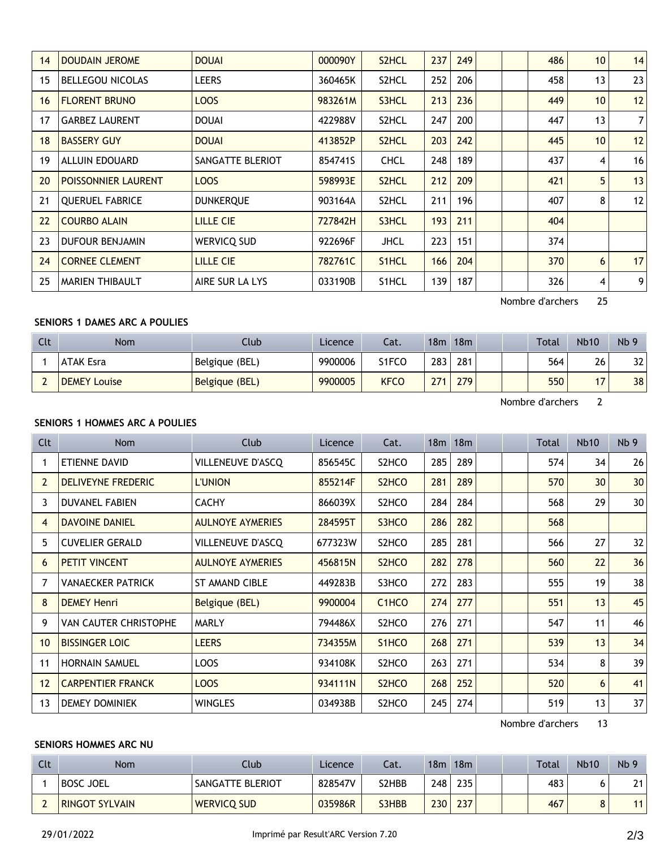| 14 | <b>DOUDAIN JEROME</b>   | <b>DOUAI</b>     | 000090Y | S2HCL       | 237 | 249 |  | 486 | 10 <sup>1</sup> | 14             |
|----|-------------------------|------------------|---------|-------------|-----|-----|--|-----|-----------------|----------------|
| 15 | <b>BELLEGOU NICOLAS</b> | <b>LEERS</b>     | 360465K | S2HCL       | 252 | 206 |  | 458 | 13              | 23             |
| 16 | <b>FLORENT BRUNO</b>    | LOOS             | 983261M | S3HCL       | 213 | 236 |  | 449 | 10              | 12             |
| 17 | <b>GARBEZ LAURENT</b>   | <b>DOUAI</b>     | 422988V | S2HCL       | 247 | 200 |  | 447 | 13              | $\overline{7}$ |
| 18 | <b>BASSERY GUY</b>      | <b>DOUAI</b>     | 413852P | S2HCL       | 203 | 242 |  | 445 | 10              | 12             |
| 19 | ALLUIN EDOUARD          | SANGATTE BLERIOT | 854741S | <b>CHCL</b> | 248 | 189 |  | 437 | 4               | 16             |
| 20 | POISSONNIER LAURENT     | LOOS             | 598993E | S2HCL       | 212 | 209 |  | 421 | 5               | 13             |
| 21 | <b>QUERUEL FABRICE</b>  | <b>DUNKERQUE</b> | 903164A | S2HCL       | 211 | 196 |  | 407 | 8               | 12             |
| 22 | <b>COURBO ALAIN</b>     | <b>LILLE CIE</b> | 727842H | S3HCL       | 193 | 211 |  | 404 |                 |                |
| 23 | <b>DUFOUR BENJAMIN</b>  | WERVICQ SUD      | 922696F | <b>JHCL</b> | 223 | 151 |  | 374 |                 |                |
| 24 | <b>CORNEE CLEMENT</b>   | <b>LILLE CIE</b> | 782761C | S1HCL       | 166 | 204 |  | 370 | 6               | 17             |
| 25 | <b>MARIEN THIBAULT</b>  | AIRE SUR LA LYS  | 033190B | S1HCL       | 139 | 187 |  | 326 | 4               | 9              |
|    |                         |                  |         |             |     |     |  |     |                 |                |

Nombre d'archers 25

## **SENIORS 1 DAMES ARC A POULIES**

| Clt | <b>Nom</b>          | Club           | Licence | Cat.        | 18m     | 18m | Total | <b>Nb10</b>              | Nb <sub>9</sub> |
|-----|---------------------|----------------|---------|-------------|---------|-----|-------|--------------------------|-----------------|
|     | <b>ATAK Esra</b>    | Belgique (BEL) | 9900006 | S1FCO       | $283 +$ | 281 | 564   | 26                       | 32              |
|     | <b>DEMEY Louise</b> | Belgique (BEL) | 9900005 | <b>KFCO</b> | 271     | 279 | 550   | $\overline{\phantom{a}}$ | 38              |

Nombre d'archers 2

## **SENIORS 1 HOMMES ARC A POULIES**

| Clt | Nom                          | <b>Club</b>              | Licence | Cat.                           |     | $18m$ 18 $m$ |  | Total | <b>Nb10</b> | Nb <sub>9</sub> |
|-----|------------------------------|--------------------------|---------|--------------------------------|-----|--------------|--|-------|-------------|-----------------|
|     | ETIENNE DAVID                | <b>VILLENEUVE D'ASCQ</b> | 856545C | S2HCO                          | 285 | 289          |  | 574   | 34          | 26              |
| 2   | <b>DELIVEYNE FREDERIC</b>    | <b>L'UNION</b>           | 855214F | S2HCO                          | 281 | 289          |  | 570   | 30          | 30              |
| 3   | <b>DUVANEL FABIEN</b>        | <b>CACHY</b>             | 866039X | S2HCO                          | 284 | 284          |  | 568   | 29          | 30              |
| 4   | <b>DAVOINE DANIEL</b>        | <b>AULNOYE AYMERIES</b>  | 284595T | S3HCO                          | 286 | 282          |  | 568   |             |                 |
| 5   | <b>CUVELIER GERALD</b>       | VILLENEUVE D'ASCO        | 677323W | S2HCO                          | 285 | 281          |  | 566   | 27          | 32              |
| 6   | <b>PETIT VINCENT</b>         | <b>AULNOYE AYMERIES</b>  | 456815N | S <sub>2</sub> HC <sub>O</sub> | 282 | 278          |  | 560   | 22          | 36              |
| 7   | <b>VANAECKER PATRICK</b>     | <b>ST AMAND CIBLE</b>    | 449283B | S3HCO                          | 272 | 283          |  | 555   | 19          | 38              |
| 8   | <b>DEMEY Henri</b>           | Belgique (BEL)           | 9900004 | C <sub>1</sub> HC <sub>O</sub> | 274 | 277          |  | 551   | 13          | 45              |
| 9   | <b>VAN CAUTER CHRISTOPHE</b> | <b>MARLY</b>             | 794486X | S2HCO                          | 276 | 271          |  | 547   | 11          | 46              |
| 10  | <b>BISSINGER LOIC</b>        | <b>LEERS</b>             | 734355M | S <sub>1</sub> HC <sub>O</sub> | 268 | 271          |  | 539   | 13          | 34              |
| 11  | <b>HORNAIN SAMUEL</b>        | LOOS                     | 934108K | S2HCO                          | 263 | 271          |  | 534   | 8           | 39              |
| 12  | <b>CARPENTIER FRANCK</b>     | LOOS                     | 934111N | S <sub>2</sub> HC <sub>O</sub> | 268 | 252          |  | 520   | 6           | 41              |
| 13  | <b>DEMEY DOMINIEK</b>        | WINGLES                  | 034938B | S2HCO                          | 245 | 274          |  | 519   | 13          | 37              |

Nombre d'archers 13

## **SENIORS HOMMES ARC NU**

| Clt | Nom                   | Club               | Licence | Cat.  | 18m | 18m |  | <b>Total</b> | <b>Nb10</b> | Nb <sub>9</sub> |
|-----|-----------------------|--------------------|---------|-------|-----|-----|--|--------------|-------------|-----------------|
|     | <b>BOSC JOEL</b>      | SANGATTE BLERIOT   | 828547V | S2HBB | 248 | 235 |  | 483          |             | 21              |
|     | <b>RINGOT SYLVAIN</b> | <b>WERVICQ SUD</b> | 035986R | S3HBB | 230 | 237 |  | 467          |             |                 |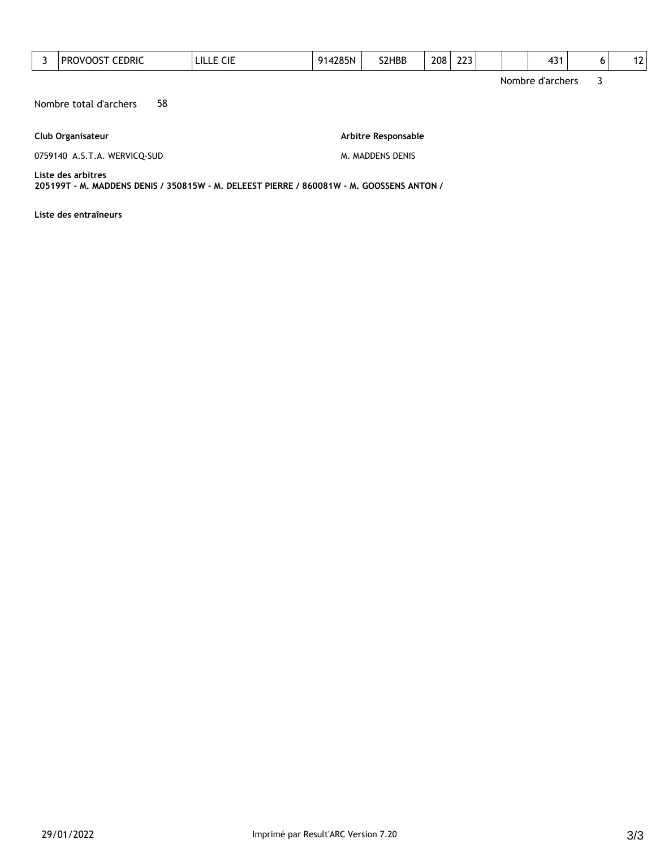| 3 | <b>PROVOOST CEDRIC</b>                                                                                         | LILLE CIE | 914285N | S2HBB               | 208 | 223 |  | 431              | 6 | 12 |
|---|----------------------------------------------------------------------------------------------------------------|-----------|---------|---------------------|-----|-----|--|------------------|---|----|
|   |                                                                                                                |           |         |                     |     |     |  | Nombre d'archers | 3 |    |
|   | 58<br>Nombre total d'archers                                                                                   |           |         |                     |     |     |  |                  |   |    |
|   | Club Organisateur                                                                                              |           |         | Arbitre Responsable |     |     |  |                  |   |    |
|   | 0759140 A.S.T.A. WERVICQ-SUD                                                                                   |           |         | M. MADDENS DENIS    |     |     |  |                  |   |    |
|   | Liste des arbitres<br>205199T - M. MADDENS DENIS / 350815W - M. DELEEST PIERRE / 860081W - M. GOOSSENS ANTON / |           |         |                     |     |     |  |                  |   |    |

**Liste des entraîneurs**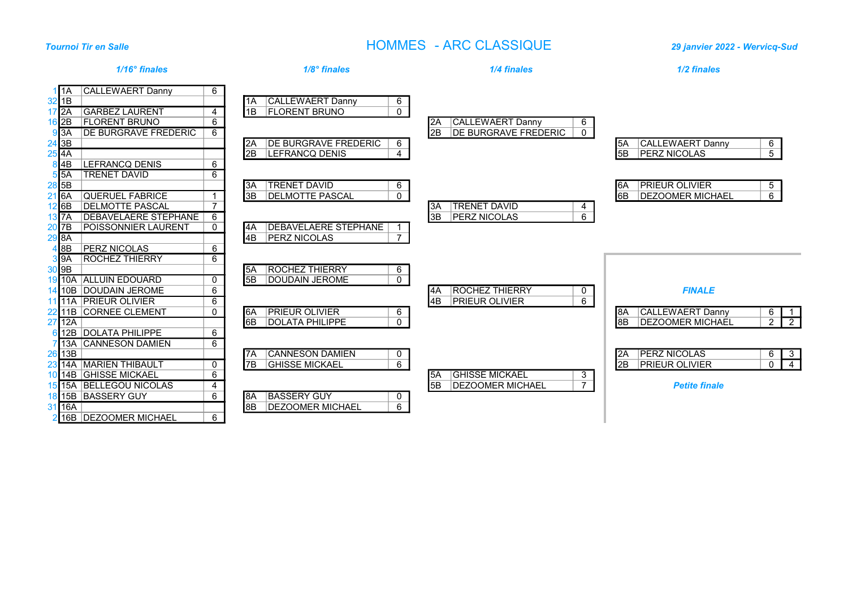# Tournoi Tir en Salle HOMMES - ARC CLASSIQUE 29 janvier 2022 - Wervicq-Sud

|                                                                                                                                                       | $1/16^\circ$ finales                                                                                                                                        | $1/8^\circ$ finales                                                                                                                                                                                                    | 1/4 finales                                                                               | 1/2 finales                                                                                                                                         |
|-------------------------------------------------------------------------------------------------------------------------------------------------------|-------------------------------------------------------------------------------------------------------------------------------------------------------------|------------------------------------------------------------------------------------------------------------------------------------------------------------------------------------------------------------------------|-------------------------------------------------------------------------------------------|-----------------------------------------------------------------------------------------------------------------------------------------------------|
| 11A<br>$32$ 1B<br>$17\overline{2A}$<br>$16$ 2B<br>$9\overline{3A}$<br>$\begin{array}{r} \n 24 \overline{3B} \\  25 \overline{4A}\n \end{array}$<br>4B | <b>CALLEWAERT Danny</b><br><b>GARBEZ LAURENT</b><br><b>FLORENT BRUNO</b><br><b>DE BURGRAVE FREDERIC</b><br><b>LEFRANCQ DENIS</b>                            | 6<br><b>CALLEWAERT Danny</b><br>$6\overline{6}$<br>11A<br>$\overline{0}$<br>1B<br><b>FLORENT BRUNO</b><br>4<br>6<br>6<br><b>DE BURGRAVE FREDERIC</b><br>6<br>l2A<br><b>LEFRANCQ DENIS</b><br>$\overline{4}$<br>2B<br>6 | <b>CALLEWAERT Danny</b><br>6<br>I2A<br>l2B<br><b>DE BURGRAVE FREDERIC</b><br>$\mathbf{0}$ | <b>CALLEWAERT Danny</b><br>6<br>I5A.<br>$\overline{5}$<br>5B<br><b>PERZ NICOLAS</b>                                                                 |
| $5\overline{5A}$<br>$28$ 5B<br>$21\overline{6A}$<br>$12$ 6B<br>$13\overline{7A}$<br>20 7B<br>29B<br>8B                                                | <b>TRENET DAVID</b><br><b>QUERUEL FABRICE</b><br><b>DELMOTTE PASCAL</b><br><b>DEBAVELAERE STEPHANE</b><br><b>POISSONNIER LAURENT</b><br><b>PERZ NICOLAS</b> | 6<br><b>TRENET DAVID</b><br>6<br>I3A<br><b>DELMOTTE PASCAL</b><br>$\overline{0}$<br>3B<br>$\overline{7}$<br>6<br><b>DEBAVELAERE STEPHANE</b><br>$\Omega$<br>I4A<br>$\overline{7}$<br>4B<br><b>PERZ NICOLAS</b><br>6    | <b>TRENET DAVID</b><br>I3A<br>4<br><b>PERZ NICOLAS</b><br>6<br>3B                         | <b>PRIEUR OLIVIER</b><br>5 <sub>5</sub><br>I6A<br>$\overline{6}$<br>I6B<br><b>DEZOOMER MICHAEL</b>                                                  |
| $3\overline{9A}$<br>$30\overline{9B}$<br>$27$ 12A                                                                                                     | <b>ROCHEZ THIERRY</b><br>19 10A ALLUIN EDOUARD<br>14 10B DOUDAIN JEROME<br>11 11A PRIEUR OLIVIER<br>22 11B CORNEE CLEMENT<br>12B DOLATA PHILIPPE            | 6<br><b>ROCHEZ THIERRY</b><br>6<br>5A<br>5B<br><b>DOUDAIN JEROME</b><br>$\mathbf{0}$<br>0<br>6<br>6<br><b>PRIEUR OLIVIER</b><br>0<br>l6A<br>6<br>$\mathbf{0}$<br><b>DOLATA PHILIPPE</b><br>6B<br>6                     | <b>ROCHEZ THIERRY</b><br>l4A<br>0<br>6<br><b>PRIEUR OLIVIER</b><br>l4B                    | <b>FINALE</b><br><b>CALLEWAERT Danny</b><br>I8A<br>6<br>$2\sqrt{2}$<br>18B<br><b>IDEZOOMER MICHAEL</b>                                              |
| $26$ 13B<br>31 16A                                                                                                                                    | 13A CANNESON DAMIEN<br>23 14A MARIEN THIBAULT<br>10 14B GHISSE MICKAEL<br>15 15A BELLEGOU NICOLAS<br>18 15B BASSERY GUY<br>2 16B DEZOOMER MICHAEL           | 6<br><b>CANNESON DAMIEN</b><br>0<br>7A<br><b>GHISSE MICKAEL</b><br>$6\overline{6}$<br>7B<br>0<br>6<br>4<br><b>BASSERY GUY</b><br>6<br>I8A<br>0<br>$\overline{6}$<br><b>DEZOOMER MICHAEL</b><br>8B<br>6                 | <b>GHISSE MICKAEL</b><br>3<br>I5A<br>$\overline{7}$<br>5B<br>DEZOOMER MICHAEL             | <b>PERZ NICOLAS</b><br>$\begin{array}{c c}\n6 & 3 \\ 0 & 4\n\end{array}$<br>I2A<br>I <sub>2B</sub><br><b>PRIEUR OLIVIER</b><br><b>Petite finale</b> |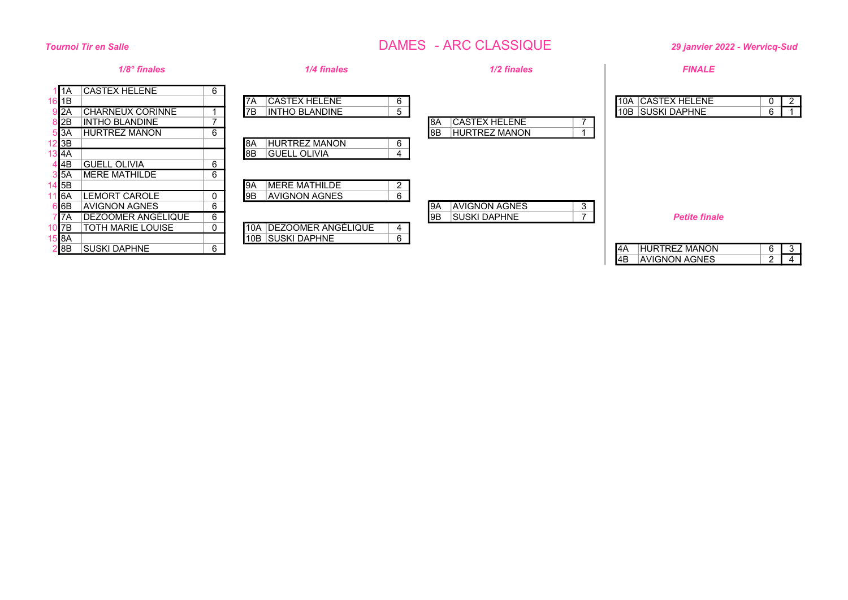# Tournoi Tir en Salle DAMES - ARC CLASSIQUE 29 janvier 2022 - Wervicq-Sud

|                                                 | $1/8^\circ$ finales                                                                              |             | 1/4 finales                                                         | 1/2 finales                                                | <b>FINALE</b>                                                                                                                        |
|-------------------------------------------------|--------------------------------------------------------------------------------------------------|-------------|---------------------------------------------------------------------|------------------------------------------------------------|--------------------------------------------------------------------------------------------------------------------------------------|
| 11A<br>$\blacksquare$ 1B<br>I2A<br>I2B<br>5 3 A | <b>CASTEX HELENE</b><br><b>CHARNEUX CORINNE</b><br><b>INTHO BLANDINE</b><br><b>HURTREZ MANON</b> | 6<br>6      | <b>CASTEX HELENE</b><br>7A<br>6<br>5<br>7B<br><b>INTHO BLANDINE</b> | <b>CASTEX HELENE</b><br>18A<br>I8B<br><b>HURTREZ MANON</b> | 10A   CASTEX HELENE<br>$\overline{2}$<br>0<br>10B SUSKI DAPHNE<br>6<br>$\overline{1}$                                                |
| $12$ 3B<br>$3$ $4A$<br>l I 4B                   | <b>GUELL OLIVIA</b>                                                                              | 6           | <b>HURTREZ MANON</b><br>6<br>18A<br>I8B<br><b>GUELL OLIVIA</b><br>4 |                                                            |                                                                                                                                      |
| 3 I 5 A<br>$14$ 5B<br>l I6A<br>$\overline{6}$ B | MERE MATHILDE<br>LEMORT CAROLE<br><b>AVIGNON AGNES</b>                                           | 6<br>0<br>6 | MERE MATHILDE<br>2<br>I9A<br>6<br>I9B<br><b>AVIGNON AGNES</b>       | <b>AVIGNON AGNES</b><br>3<br>19A<br>⇁                      |                                                                                                                                      |
| 7 7 A<br>10 7B<br>5 8A <br>2 8B                 | <b>DEZOOMER ANGÉLIQUE</b><br><b>TOTH MARIE LOUISE</b><br><b>SUSKI DAPHNE</b>                     | 6<br>0<br>6 | 10A IDEZOOMER ANGÉLIQUE<br>4<br>10B SUSKI DAPHNE<br>6               | 19B<br><b>SUSKI DAPHNE</b>                                 | <b>Petite finale</b><br><b>HURTREZ MANON</b><br>I4A<br>6<br>$\mathbf{3}$<br>14B<br>$\overline{2}$<br>AVIGNON AGNES<br>$\overline{4}$ |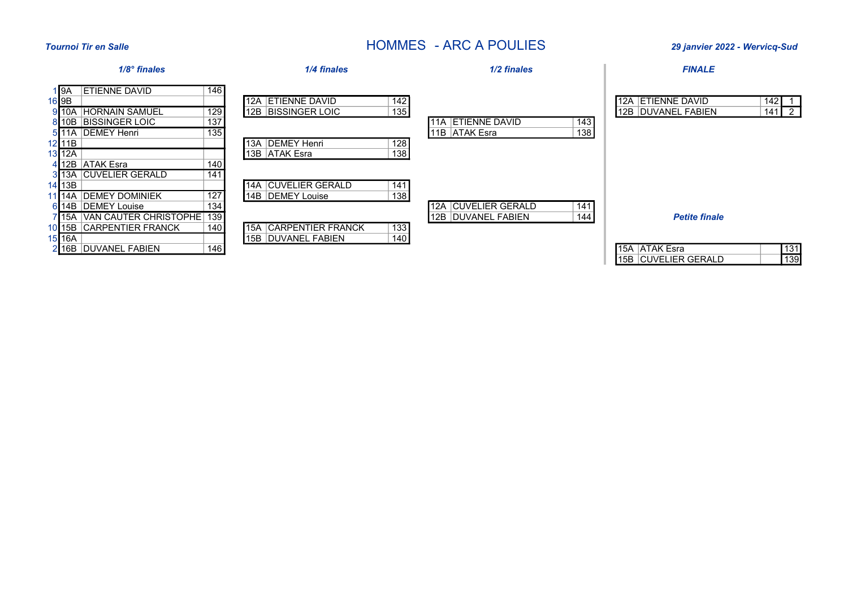# Tournoi Tir en Salle **Salle** 2022 - Wervicq-Sud **HOMMES** - ARC A POULIES 29 janvier 2022 - Wervicq-Sud

15B CUVELIER GERALD 139

| $1/8$ ° finales                                                                                                                                                                                                      | 1/4 finales                                                                                                                               | 1/2 finales                                               | <b>FINALE</b>                                                                                    |
|----------------------------------------------------------------------------------------------------------------------------------------------------------------------------------------------------------------------|-------------------------------------------------------------------------------------------------------------------------------------------|-----------------------------------------------------------|--------------------------------------------------------------------------------------------------|
| 146<br><b>ETIENNE DAVID</b><br>I I 9A<br>16 9B<br>129<br>910A HORNAIN SAMUEL<br>137<br>810B BISSINGER LOIC<br>135<br>5111A DEMEY Henri<br>$12$ 11B<br>$13$ 12A<br>140<br>412B ATAK Esra                              | 142<br><b>ETIENNE DAVID</b><br>12A<br>135<br><b>12B BISSINGER LOIC</b><br>128<br>13A DEMEY Henri<br>138<br>13B ATAK Esra                  | 11A ETIENNE DAVID<br>143<br>138<br>11B ATAK Esra          | $\overline{142}$ 1<br><b>12A ETIENNE DAVID</b><br>$141\overline{2}$<br><b>12B DUVANEL FABIEN</b> |
| 141<br>313A CUVELIER GERALD<br>14 13B<br>11 14A DEMEY DOMINIEK<br>127<br>134<br>614B DEMEY Louise<br>715A   VAN CAUTER CHRISTOPHE   139<br>140<br>1015B CARPENTIER FRANCK<br>$15$  16A<br>146<br>216B DUVANEL FABIEN | <b>14A   CUVELIER GERALD</b><br>141<br>138<br>14B DEMEY Louise<br>133<br><b>15A CARPENTIER FRANCK</b><br>140<br><b>15B DUVANEL FABIEN</b> | 12A   CUVELIER GERALD<br>141<br>12B DUVANEL FABIEN<br>144 | <b>Petite finale</b><br>$131$<br>15A ATAK Esra                                                   |